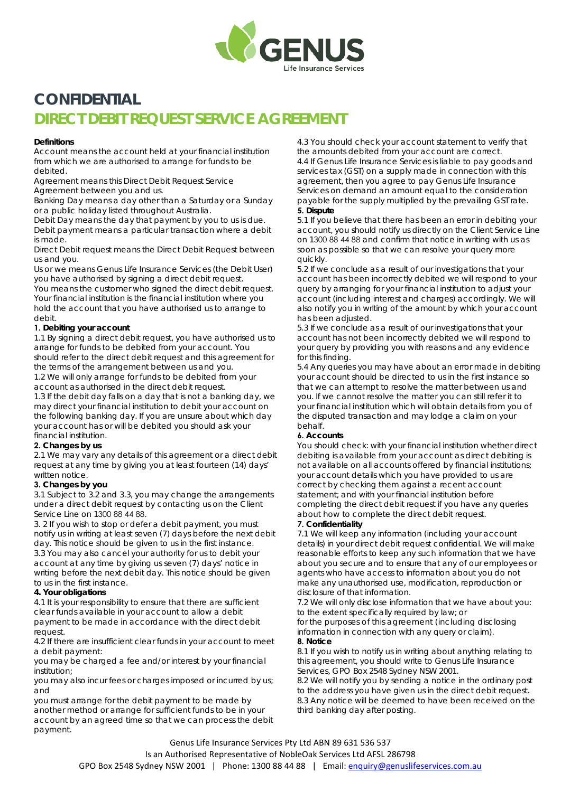

# **CONFIDENTIAL DIRECT DEBIT REQUEST SERVICE AGREEMENT**

#### **Definitions**

Account means the account held at your financial institution from which we are authorised to arrange for funds to be debited.

Agreement means this Direct Debit Request Service Agreement between you and us.

Banking Day means a day other than a Saturday or a Sunday or a public holiday listed throughout Australia.

Debit Day means the day that payment by you to us is due. Debit payment means a particular transaction where a debit is made.

Direct Debit request means the Direct Debit Request between us and you.

Us or we means Genus Life Insurance Services (the Debit User) you have authorised by signing a direct debit request.

You means the customer who signed the direct debit request. Your financial institution is the financial institution where you hold the account that you have authorised us to arrange to debit.

#### **1. Debiting your account**

1.1 By signing a direct debit request, you have authorised us to arrange for funds to be debited from your account. You should refer to the direct debit request and this agreement for the terms of the arrangement between us and you.

1.2 We will only arrange for funds to be debited from your account as authorised in the direct debit request.

1.3 If the debit day falls on a day that is not a banking day, we may direct your financial institution to debit your account on the following banking day. If you are unsure about which day your account has or will be debited you should ask your financial institution.

#### **2. Changes by us**

2.1 We may vary any details of this agreement or a direct debit request at any time by giving you at least fourteen (14) days' written notice.

#### **3. Changes by you**

3.1 Subject to 3.2 and 3.3, you may change the arrangements under a direct debit request by contacting us on the Client Service Line on 1300 88 44 88.

3. 2 If you wish to stop or defer a debit payment, you must notify us in writing at least seven (7) days before the next debit day. This notice should be given to us in the first instance. 3.3 You may also cancel your authority for us to debit your account at any time by giving us seven (7) days' notice in writing before the next debit day. This notice should be given to us in the first instance.

#### **4. Your obligations**

4.1 It is your responsibility to ensure that there are sufficient clear funds available in your account to allow a debit payment to be made in accordance with the direct debit request.

4.2 If there are insufficient clear funds in your account to meet a debit payment:

you may be charged a fee and/or interest by your financial institution;

you may also incur fees or charges imposed or incurred by us; and

you must arrange for the debit payment to be made by another method or arrange for sufficient funds to be in your account by an agreed time so that we can process the debit payment.

4.3 You should check your account statement to verify that the amounts debited from your account are correct. 4.4 If Genus Life Insurance Services is liable to pay goods and services tax (GST) on a supply made in connection with this agreement, then you agree to pay Genus Life Insurance Services on demand an amount equal to the consideration payable for the supply multiplied by the prevailing GST rate. **5. Dispute**

5.1 If you believe that there has been an error in debiting your account, you should notify us directly on the Client Service Line on 1300 88 44 88 and confirm that notice in writing with us as soon as possible so that we can resolve your query more quickly.

5.2 If we conclude as a result of our investigations that your account has been incorrectly debited we will respond to your query by arranging for your financial institution to adjust your account (including interest and charges) accordingly. We will also notify you in writing of the amount by which your account has been adjusted.

5.3 If we conclude as a result of our investigations that your account has not been incorrectly debited we will respond to your query by providing you with reasons and any evidence for this finding.

5.4 Any queries you may have about an error made in debiting your account should be directed to us in the first instance so that we can attempt to resolve the matter between us and you. If we cannot resolve the matter you can still refer it to your financial institution which will obtain details from you of the disputed transaction and may lodge a claim on your behalf.

#### **6. Accounts**

You should check: with your financial institution whether direct debiting is available from your account as direct debiting is not available on all accounts offered by financial institutions; your account details which you have provided to us are correct by checking them against a recent account statement; and with your financial institution before completing the direct debit request if you have any queries about how to complete the direct debit request.

#### **7. Confidentiality**

7.1 We will keep any information (including your account details) in your direct debit request confidential. We will make reasonable efforts to keep any such information that we have about you secure and to ensure that any of our employees or agents who have access to information about you do not make any unauthorised use, modification, reproduction or disclosure of that information.

7.2 We will only disclose information that we have about you: to the extent specifically required by law; or

for the purposes of this agreement (including disclosing information in connection with any query or claim).

#### **8. Notice**

8.1 If you wish to notify us in writing about anything relating to this agreement, you should write to Genus Life Insurance Services, GPO Box 2548 Sydney NSW 2001.

8.2 We will notify you by sending a notice in the ordinary post to the address you have given us in the direct debit request. 8.3 Any notice will be deemed to have been received on the third banking day after posting.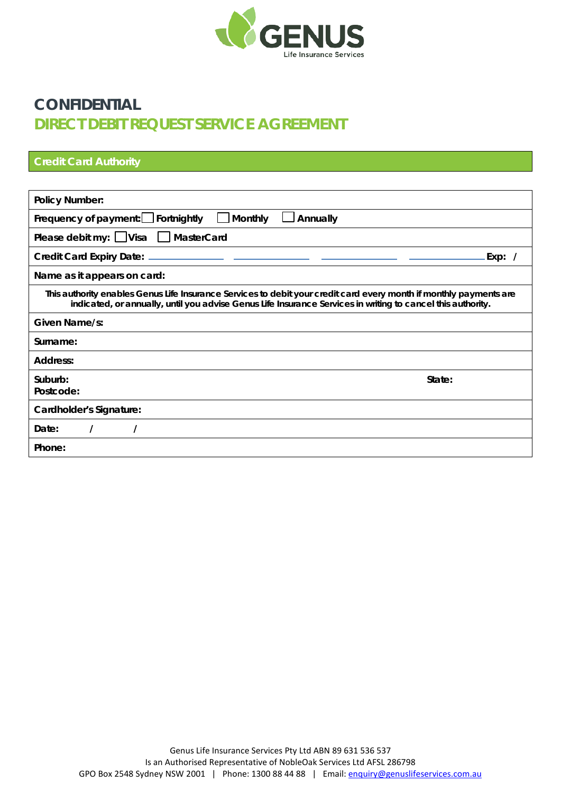

# **CONFIDENTIAL DIRECT DEBIT REQUEST SERVICE AGREEMENT**

| <b>Credit Card Authority</b>                                                                                                                                                                                                      |
|-----------------------------------------------------------------------------------------------------------------------------------------------------------------------------------------------------------------------------------|
|                                                                                                                                                                                                                                   |
| <b>Policy Number:</b>                                                                                                                                                                                                             |
| Frequency of payment: Fortnightly<br><b>Monthly</b><br>Annually                                                                                                                                                                   |
| Please debit my: $\Box$ Visa $\Box$ MasterCard                                                                                                                                                                                    |
| Exp: /                                                                                                                                                                                                                            |
| Name as it appears on card:                                                                                                                                                                                                       |
| This authority enables Genus Life Insurance Services to debit your credit card every month if monthly payments are<br>indicated, or annually, until you advise Genus Life Insurance Services in writing to cancel this authority. |
| Given Name/s:                                                                                                                                                                                                                     |
| Surname:                                                                                                                                                                                                                          |
| Address:                                                                                                                                                                                                                          |
| Suburb:<br>State:<br>Postcode:                                                                                                                                                                                                    |
| Cardholder's Signature:                                                                                                                                                                                                           |
| Date:                                                                                                                                                                                                                             |
| Phone:                                                                                                                                                                                                                            |